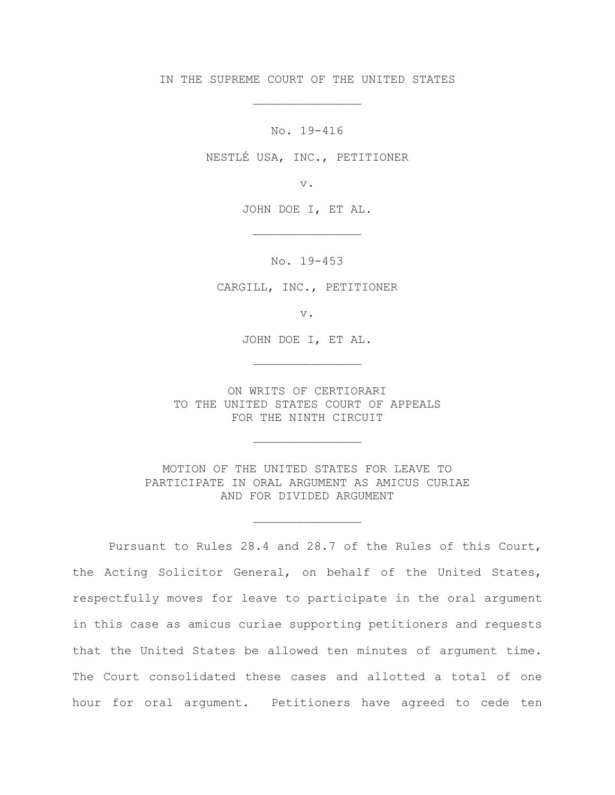IN THE SUPREME COURT OF THE UNITED STATES

\_\_\_\_\_\_\_\_\_\_\_\_\_\_\_

No. 19-416

NESTLÉ USA, INC., PETITIONER

v.

JOHN DOE I, ET AL.

\_\_\_\_\_\_\_\_\_\_\_\_\_\_\_

No. 19-453

CARGILL, INC., PETITIONER

v.

JOHN DOE I, ET AL.

\_\_\_\_\_\_\_\_\_\_\_\_\_\_\_

ON WRITS OF CERTIORARI TO THE UNITED STATES COURT OF APPEALS FOR THE NINTH CIRCUIT

\_\_\_\_\_\_\_\_\_\_\_\_\_\_\_

MOTION OF THE UNITED STATES FOR LEAVE TO PARTICIPATE IN ORAL ARGUMENT AS AMICUS CURIAE AND FOR DIVIDED ARGUMENT

\_\_\_\_\_\_\_\_\_\_\_\_\_\_\_

Pursuant to Rules 28.4 and 28.7 of the Rules of this Court, the Acting Solicitor General, on behalf of the United States, respectfully moves for leave to participate in the oral argument in this case as amicus curiae supporting petitioners and requests that the United States be allowed ten minutes of argument time. The Court consolidated these cases and allotted a total of one hour for oral argument. Petitioners have agreed to cede ten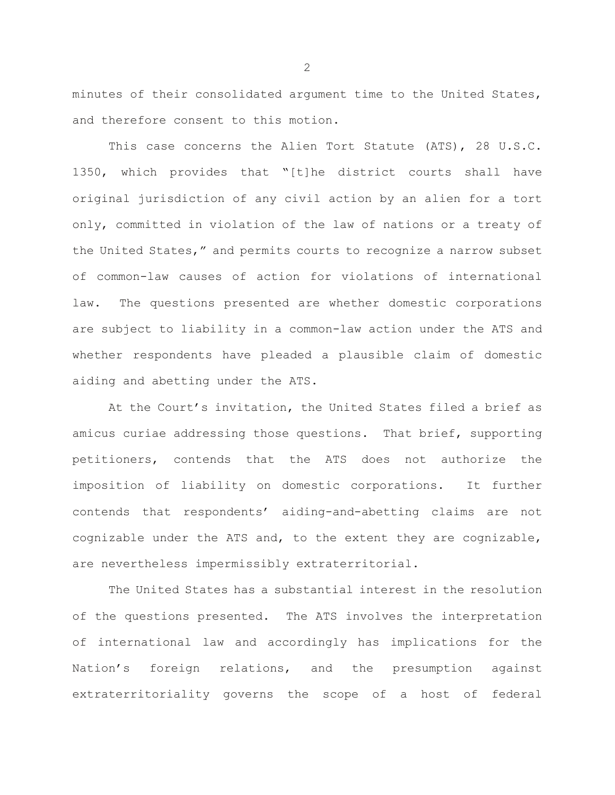minutes of their consolidated argument time to the United States, and therefore consent to this motion.

This case concerns the Alien Tort Statute (ATS), 28 U.S.C. 1350, which provides that "[t]he district courts shall have original jurisdiction of any civil action by an alien for a tort only, committed in violation of the law of nations or a treaty of the United States," and permits courts to recognize a narrow subset of common-law causes of action for violations of international law. The questions presented are whether domestic corporations are subject to liability in a common-law action under the ATS and whether respondents have pleaded a plausible claim of domestic aiding and abetting under the ATS.

At the Court's invitation, the United States filed a brief as amicus curiae addressing those questions. That brief, supporting petitioners, contends that the ATS does not authorize the imposition of liability on domestic corporations. It further contends that respondents' aiding-and-abetting claims are not cognizable under the ATS and, to the extent they are cognizable, are nevertheless impermissibly extraterritorial.

The United States has a substantial interest in the resolution of the questions presented. The ATS involves the interpretation of international law and accordingly has implications for the Nation's foreign relations, and the presumption against extraterritoriality governs the scope of a host of federal

2